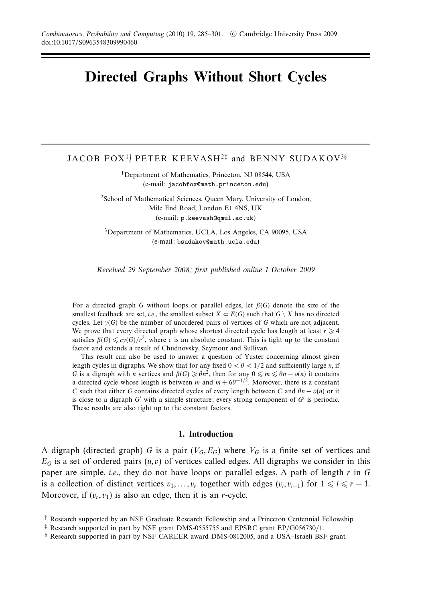# **Directed Graphs Without Short Cycles**

# <code>JACOB</code> <code>FOX<sup>1†</code> <code>PETER KEEVASH<sup>2‡</sup> and <code>BENNY SUDAKOV</code>  $^{3\S}$ </code></sup></code>

<sup>1</sup>Department of Mathematics, Princeton, NJ 08544, USA (e-mail: jacobfox@math.princeton.edu)

2School of Mathematical Sciences, Queen Mary, University of London, Mile End Road, London E1 4NS, UK (e-mail: p.keevash@qmul.ac.uk)

3Department of Mathematics, UCLA, Los Angeles, CA 90095, USA (e-mail: bsudakov@math.ucla.edu)

Received 29 September 2008; first published online 1 October 2009

For a directed graph *G* without loops or parallel edges, let *β*(*G*) denote the size of the smallest feedback arc set, *i.e.*, the smallest subset  $X \subset E(G)$  such that  $G \setminus X$  has no directed cycles. Let *γ*(*G*) be the number of unordered pairs of vertices of *G* which are not adjacent. We prove that every directed graph whose shortest directed cycle has length at least  $r \geq 4$ satisfies  $\beta(G) \leq c\gamma(G)/r^2$ , where *c* is an absolute constant. This is tight up to the constant factor and extends a result of Chudnovsky, Seymour and Sullivan.

This result can also be used to answer a question of Yuster concerning almost given length cycles in digraphs. We show that for any fixed  $0 < \theta < 1/2$  and sufficiently large *n*, if *G* is a digraph with *n* vertices and  $\beta(G) \ge \theta n^2$ , then for any  $0 \le m \le \theta n - o(n)$  it contains a directed cycle whose length is between *m* and  $m + 6\theta^{-1/2}$ . Moreover, there is a constant *C* such that either *G* contains directed cycles of every length between *C* and  $\theta$ *n* −  $o(n)$  or it is close to a digraph  $G'$  with a simple structure: every strong component of  $G'$  is periodic. These results are also tight up to the constant factors.

# **1. Introduction**

A digraph (directed graph) *G* is a pair  $(V_G, E_G)$  where  $V_G$  is a finite set of vertices and  $E_G$  is a set of ordered pairs  $(u, v)$  of vertices called edges. All digraphs we consider in this paper are simple, i.e., they do not have loops or parallel edges. A path of length *r* in *G* is a collection of distinct vertices  $v_1, \ldots, v_r$  together with edges  $(v_i, v_{i+1})$  for  $1 \leq i \leq r - 1$ . Moreover, if  $(v_r, v_1)$  is also an edge, then it is an *r*-cycle.

<sup>†</sup> Research supported by an NSF Graduate Research Fellowship and a Princeton Centennial Fellowship.

<sup>‡</sup> Research supported in part by NSF grant DMS-0555755 and EPSRC grant EP/G056730/1.

<sup>§</sup> Research supported in part by NSF CAREER award DMS-0812005, and a USA–Israeli BSF grant.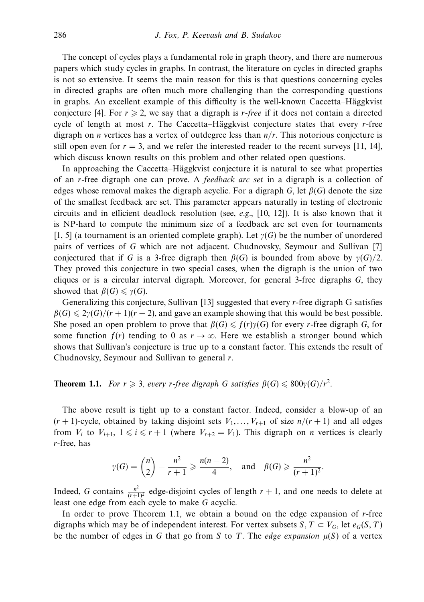The concept of cycles plays a fundamental role in graph theory, and there are numerous papers which study cycles in graphs. In contrast, the literature on cycles in directed graphs is not so extensive. It seems the main reason for this is that questions concerning cycles in directed graphs are often much more challenging than the corresponding questions in graphs. An excellent example of this difficulty is the well-known Caccetta–Häggkvist conjecture [4]. For  $r \ge 2$ , we say that a digraph is *r-free* if it does not contain a directed cycle of length at most *r*. The Caccetta–Häggkvist conjecture states that every *r*-free digraph on *n* vertices has a vertex of outdegree less than *n/r*. This notorious conjecture is still open even for  $r = 3$ , and we refer the interested reader to the recent surveys [11, 14], which discuss known results on this problem and other related open questions.

In approaching the Caccetta–Häggkvist conjecture it is natural to see what properties of an *r*-free digraph one can prove. A feedback arc set in a digraph is a collection of edges whose removal makes the digraph acyclic. For a digraph *G*, let  $\beta(G)$  denote the size of the smallest feedback arc set. This parameter appears naturally in testing of electronic circuits and in efficient deadlock resolution (see, e.g.,  $[10, 12]$ ). It is also known that it is NP-hard to compute the minimum size of a feedback arc set even for tournaments [1, 5] (a tournament is an oriented complete graph). Let *γ*(*G*) be the number of unordered pairs of vertices of *G* which are not adjacent. Chudnovsky, Seymour and Sullivan [7] conjectured that if *G* is a 3-free digraph then  $\beta(G)$  is bounded from above by  $\gamma(G)/2$ . They proved this conjecture in two special cases, when the digraph is the union of two cliques or is a circular interval digraph. Moreover, for general 3-free digraphs *G*, they showed that  $\beta(G) \leq \gamma(G)$ .

Generalizing this conjecture, Sullivan [13] suggested that every *r*-free digraph G satisfies  $\beta(G) \leq 2\gamma(G)/(r+1)(r-2)$ , and gave an example showing that this would be best possible. She posed an open problem to prove that  $\beta(G) \leq f(r)\gamma(G)$  for every *r*-free digraph *G*, for some function  $f(r)$  tending to 0 as  $r \to \infty$ . Here we establish a stronger bound which shows that Sullivan's conjecture is true up to a constant factor. This extends the result of Chudnovsky, Seymour and Sullivan to general *r*.

**Theorem 1.1.** For  $r \ge 3$ , every *r*-free digraph *G* satisfies  $\beta(G) \le 800\gamma(G)/r^2$ .

The above result is tight up to a constant factor. Indeed, consider a blow-up of an  $(r + 1)$ -cycle, obtained by taking disjoint sets  $V_1, \ldots, V_{r+1}$  of size  $n/(r + 1)$  and all edges from  $V_i$  to  $V_{i+1}$ ,  $1 \le i \le r+1$  (where  $V_{r+2} = V_1$ ). This digraph on *n* vertices is clearly *r*-free, has

$$
\gamma(G) = {n \choose 2} - \frac{n^2}{r+1} \ge \frac{n(n-2)}{4}
$$
, and  $\beta(G) \ge \frac{n^2}{(r+1)^2}$ .

Indeed, *G* contains  $\frac{n^2}{(r+1)^2}$  edge-disjoint cycles of length  $r + 1$ , and one needs to delete at least one edge from each cycle to make *G* acyclic.

In order to prove Theorem 1.1, we obtain a bound on the edge expansion of *r*-free digraphs which may be of independent interest. For vertex subsets *S*,  $T \subset V_G$ , let  $e_G(S, T)$ be the number of edges in *G* that go from *S* to *T*. The *edge expansion*  $\mu(S)$  of a vertex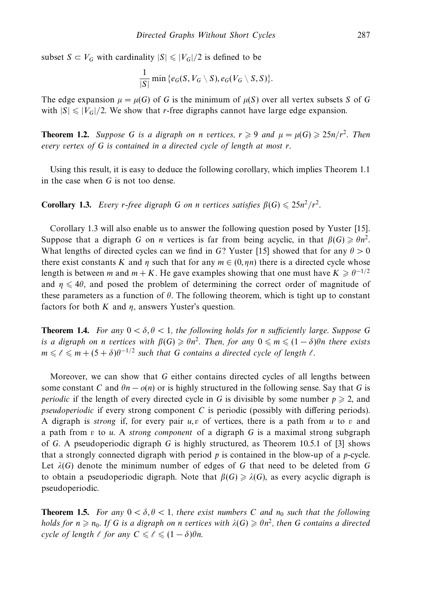subset  $S \subset V_G$  with cardinality  $|S| \leq |V_G|/2$  is defined to be

$$
\frac{1}{|S|}\min{\{e_G(S,V_G\setminus S),e_G(V_G\setminus S,S)\}}.
$$

The edge expansion  $\mu = \mu(G)$  of *G* is the minimum of  $\mu(S)$  over all vertex subsets *S* of *G* with  $|S| \leq |V_G|/2$ . We show that *r*-free digraphs cannot have large edge expansion.

**Theorem 1.2.** Suppose *G* is a digraph on *n* vertices,  $r \ge 9$  and  $\mu = \mu(G) \ge 25n/r^2$ . Then every vertex of *G* is contained in a directed cycle of length at most *r*.

Using this result, it is easy to deduce the following corollary, which implies Theorem 1.1 in the case when *G* is not too dense.

**Corollary 1.3.** Every *r*-free digraph *G* on *n* vertices satisfies  $\beta(G) \leq 25n^2/r^2$ .

Corollary 1.3 will also enable us to answer the following question posed by Yuster [15]. Suppose that a digraph *G* on *n* vertices is far from being acyclic, in that  $\beta(G) \ge \theta n^2$ . What lengths of directed cycles can we find in *G*? Yuster [15] showed that for any  $\theta > 0$ there exist constants *K* and *η* such that for any  $m \in (0, \eta n)$  there is a directed cycle whose length is between *m* and  $m + K$ . He gave examples showing that one must have  $K \geq \theta^{-1/2}$ and  $\eta \leq 4\theta$ , and posed the problem of determining the correct order of magnitude of these parameters as a function of *θ*. The following theorem, which is tight up to constant factors for both  $K$  and  $\eta$ , answers Yuster's question.

**Theorem 1.4.** For any  $0 < \delta, \theta < 1$ , the following holds for *n* sufficiently large. Suppose G is a digraph on *n* vertices with  $\beta(G) \geqslant \theta n^2$ . Then, for any  $0 \leqslant m \leqslant (1 - \delta) \theta n$  there exists  $m \leqslant \ell \leqslant m + (5 + \delta)\theta^{-1/2}$  such that *G* contains a directed cycle of length  $\ell$ .

Moreover, we can show that *G* either contains directed cycles of all lengths between some constant *C* and  $\theta$ *n* −  $o(n)$  or is highly structured in the following sense. Say that *G* is *periodic* if the length of every directed cycle in *G* is divisible by some number  $p \ge 2$ , and pseudoperiodic if every strong component *C* is periodic (possibly with differing periods). A digraph is strong if, for every pair *u, v* of vertices, there is a path from *u* to *v* and a path from *v* to *u*. A strong component of a digraph *G* is a maximal strong subgraph of *G*. A pseudoperiodic digraph *G* is highly structured, as Theorem 10.5.1 of [3] shows that a strongly connected digraph with period *p* is contained in the blow-up of a *p*-cycle. Let *λ*(*G*) denote the minimum number of edges of *G* that need to be deleted from *G* to obtain a pseudoperiodic digraph. Note that  $\beta(G) \geq \lambda(G)$ , as every acyclic digraph is pseudoperiodic.

**Theorem 1.5.** For any  $0 < \delta, \theta < 1$ , there exist numbers C and  $n_0$  such that the following holds for  $n \ge n_0$ . If *G* is a digraph on *n* vertices with  $\lambda(G) \ge \theta n^2$ , then *G* contains a directed  $cycle\ of\ length\ \ell\ for\ any\ C\leqslant \ell \leqslant (1-\delta)\theta n.$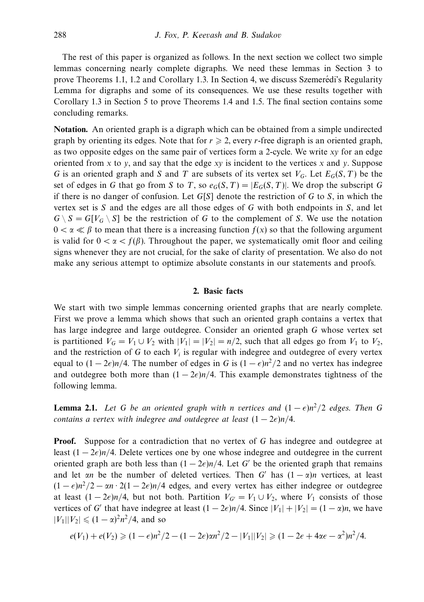The rest of this paper is organized as follows. In the next section we collect two simple lemmas concerning nearly complete digraphs. We need these lemmas in Section 3 to prove Theorems 1.1, 1.2 and Corollary 1.3. In Section 4, we discuss Szemeredi's Regularity ´ Lemma for digraphs and some of its consequences. We use these results together with Corollary 1.3 in Section 5 to prove Theorems 1.4 and 1.5. The final section contains some concluding remarks.

**Notation.** An oriented graph is a digraph which can be obtained from a simple undirected graph by orienting its edges. Note that for  $r \geq 2$ , every *r*-free digraph is an oriented graph, as two opposite edges on the same pair of vertices form a 2-cycle. We write *xy* for an edge oriented from *x* to *y*, and say that the edge *xy* is incident to the vertices *x* and *y*. Suppose *G* is an oriented graph and *S* and *T* are subsets of its vertex set *VG*. Let *EG*(*S,T*) be the set of edges in *G* that go from *S* to *T*, so  $e_G(S, T) = |E_G(S, T)|$ . We drop the subscript *G* if there is no danger of confusion. Let *G*[*S*] denote the restriction of *G* to *S*, in which the vertex set is *S* and the edges are all those edges of *G* with both endpoints in *S*, and let  $G \setminus S = G[V_G \setminus S]$  be the restriction of *G* to the complement of *S*. We use the notation  $0 < \alpha \ll \beta$  to mean that there is a increasing function  $f(x)$  so that the following argument is valid for  $0 < \alpha < f(\beta)$ . Throughout the paper, we systematically omit floor and ceiling signs whenever they are not crucial, for the sake of clarity of presentation. We also do not make any serious attempt to optimize absolute constants in our statements and proofs.

## **2. Basic facts**

We start with two simple lemmas concerning oriented graphs that are nearly complete. First we prove a lemma which shows that such an oriented graph contains a vertex that has large indegree and large outdegree. Consider an oriented graph *G* whose vertex set is partitioned  $V_G = V_1 \cup V_2$  with  $|V_1| = |V_2| = n/2$ , such that all edges go from  $V_1$  to  $V_2$ , and the restriction of  $G$  to each  $V_i$  is regular with indegree and outdegree of every vertex equal to  $(1 - 2\epsilon)n/4$ . The number of edges in *G* is  $(1 - \epsilon)n^2/2$  and no vertex has indegree and outdegree both more than  $(1 - 2\epsilon)n/4$ . This example demonstrates tightness of the following lemma.

**Lemma 2.1.** Let G be an oriented graph with *n* vertices and  $(1 - \epsilon)n^2/2$  edges. Then G contains a vertex with indegree and outdegree at least (1 − 2)*n/*4.

**Proof.** Suppose for a contradiction that no vertex of G has indegree and outdegree at least (1 − 2)*n/*4. Delete vertices one by one whose indegree and outdegree in the current oriented graph are both less than  $(1 - 2\epsilon)n/4$ . Let *G'* be the oriented graph that remains and let *αn* be the number of deleted vertices. Then *G'* has  $(1 - \alpha)n$  vertices, at least  $(1 - \epsilon)n^2/2 - \alpha n \cdot 2(1 - 2\epsilon)n/4$  edges, and every vertex has either indegree or outdegree at least  $(1 - 2\epsilon)n/4$ , but not both. Partition  $V_{G'} = V_1 \cup V_2$ , where  $V_1$  consists of those vertices of *G'* that have indegree at least  $(1 - 2\epsilon)n/4$ . Since  $|V_1| + |V_2| = (1 - \alpha)n$ , we have  $|V_1||V_2| \leq (1 - \alpha)^2 n^2/4$ , and so

$$
e(V_1)+e(V_2) \geqslant (1-\epsilon)n^2/2-(1-2\epsilon)\alpha n^2/2-|V_1||V_2| \geqslant (1-2\epsilon+4\alpha\epsilon-\alpha^2)n^2/4.
$$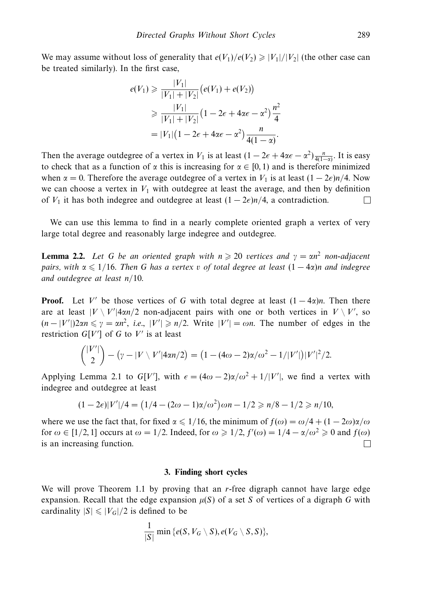We may assume without loss of generality that  $e(V_1)/e(V_2) \ge |V_1|/|V_2|$  (the other case can be treated similarly). In the first case,

$$
e(V_1) \geq \frac{|V_1|}{|V_1| + |V_2|} (e(V_1) + e(V_2))
$$
  
\n
$$
\geq \frac{|V_1|}{|V_1| + |V_2|} (1 - 2\epsilon + 4\alpha\epsilon - \alpha^2) \frac{n^2}{4}
$$
  
\n
$$
= |V_1| (1 - 2\epsilon + 4\alpha\epsilon - \alpha^2) \frac{n}{4(1 - \alpha)}.
$$

Then the average outdegree of a vertex in *V*<sub>1</sub> is at least  $(1 - 2\epsilon + 4\alpha\epsilon - \alpha^2)\frac{n}{4(1-\alpha)}$ . It is easy to check that as a function of  $\alpha$  this is increasing for  $\alpha \in [0, 1)$  and is therefore minimized when  $\alpha = 0$ . Therefore the average outdegree of a vertex in  $V_1$  is at least  $(1 - 2\epsilon)n/4$ . Now we can choose a vertex in  $V_1$  with outdegree at least the average, and then by definition of  $V_1$  it has both indegree and outdegree at least  $(1 - 2\epsilon)n/4$ , a contradiction.

We can use this lemma to find in a nearly complete oriented graph a vertex of very large total degree and reasonably large indegree and outdegree.

**Lemma 2.2.** Let G be an oriented graph with  $n \ge 20$  vertices and  $\gamma = \alpha n^2$  non-adjacent pairs, with α  $\leqslant1/16.$  Then  $G$  has a vertex  $v$  of total degree at least  $(1-4α)n$  and indegree and outdegree at least *n/*10.

**Proof.** Let V' be those vertices of G with total degree at least  $(1 - 4\alpha)n$ . Then there are at least  $|V \setminus V'|$  4*αn*/2 non-adjacent pairs with one or both vertices in  $V \setminus V'$ , so  $(n - |V'|)$ 2*αn*  $\le \gamma = \alpha n^2$ , *i.e.*,  $|V'| \ge n/2$ . Write  $|V'| = \omega n$ . The number of edges in the restriction  $G[V']$  of  $G$  to  $V'$  is at least

$$
{|V'|\choose 2} - (\gamma - |V \setminus V'|4\alpha n/2) = (1 - (4\omega - 2)\alpha/\omega^2 - 1/|V'|)|V'|^2/2.
$$

Applying Lemma 2.1 to  $G[V']$ , with  $\epsilon = (4\omega - 2)\alpha/\omega^2 + 1/|V'|$ , we find a vertex with indegree and outdegree at least

$$
(1 - 2\epsilon)|V'|/4 = (1/4 - (2\omega - 1)\alpha/\omega^2)\omega n - 1/2 \ge n/8 - 1/2 \ge n/10,
$$

where we use the fact that, for fixed  $\alpha \leq 1/16$ , the minimum of  $f(\omega) = \omega/4 + (1 - 2\omega)\alpha/\omega$ for  $\omega \in [1/2, 1]$  occurs at  $\omega = 1/2$ . Indeed, for  $\omega \ge 1/2$ ,  $f'(\omega) = 1/4 - \alpha/\omega^2 \ge 0$  and  $f(\omega)$ is an increasing function. П

#### **3. Finding short cycles**

We will prove Theorem 1.1 by proving that an *r*-free digraph cannot have large edge expansion. Recall that the edge expansion  $\mu(S)$  of a set *S* of vertices of a digraph *G* with cardinality  $|S| \leq |V_G|/2$  is defined to be

$$
\frac{1}{|S|}\min\left\{e(S, V_G\setminus S), e(V_G\setminus S,S)\right\},\
$$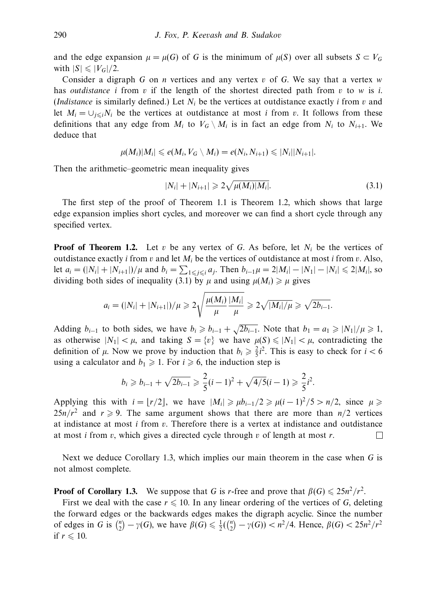and the edge expansion  $\mu = \mu(G)$  of *G* is the minimum of  $\mu(S)$  over all subsets  $S \subset V_G$ with  $|S| \leqslant |V_G|/2$ .

Consider a digraph *G* on *n* vertices and any vertex *v* of *G*. We say that a vertex *w* has outdistance *i* from *v* if the length of the shortest directed path from *v* to *w* is *i*. (*Indistance* is similarly defined.) Let  $N_i$  be the vertices at outdistance exactly *i* from *v* and let  $M_i = \bigcup_{j \leq i} N_i$  be the vertices at outdistance at most *i* from *v*. It follows from these definitions that any edge from  $M_i$  to  $V_G \setminus M_i$  is in fact an edge from  $N_i$  to  $N_{i+1}$ . We deduce that

$$
\mu(M_i)|M_i|\leqslant e(M_i,V_G\setminus M_i)=e(N_i,N_{i+1})\leqslant |N_i||N_{i+1}|.
$$

Then the arithmetic–geometric mean inequality gives

$$
|N_i| + |N_{i+1}| \geq 2\sqrt{\mu(M_i)|M_i|}.
$$
\n(3.1)

The first step of the proof of Theorem 1.1 is Theorem 1.2, which shows that large edge expansion implies short cycles, and moreover we can find a short cycle through any specified vertex.

**Proof of Theorem 1.2.** Let  $v$  be any vertex of  $G$ . As before, let  $N_i$  be the vertices of outdistance exactly *i* from *v* and let  $M_i$  be the vertices of outdistance at most *i* from *v*. Also, let  $a_i = (|N_i| + |N_{i+1}|)/\mu$  and  $b_i = \sum_{1 \leq j \leq i} a_j$ . Then  $b_{i-1}\mu = 2|M_i| - |N_1| - |N_i| \leq 2|M_i|$ , so dividing both sides of inequality (3.1) by  $\mu$  and using  $\mu(M_i) \ge \mu$  gives

$$
a_i = (|N_i| + |N_{i+1}|)/\mu \ge 2\sqrt{\frac{\mu(M_i)}{\mu}} \frac{|M_i|}{\mu} \ge 2\sqrt{|M_i|/\mu} \ge \sqrt{2b_{i-1}}.
$$

Adding *b<sub>i−1</sub>* to both sides, we have  $b_i \geq b_{i-1} + \sqrt{2b_{i-1}}$ . Note that  $b_1 = a_1 \geq |N_1|/\mu \geq 1$ , as otherwise  $|N_1| < \mu$ , and taking  $S = \{v\}$  we have  $\mu(S) \leq |N_1| < \mu$ , contradicting the definition of  $\mu$ . Now we prove by induction that  $b_i \geq \frac{2}{5}i^2$ . This is easy to check for  $i < 6$ using a calculator and  $b_1 \geq 1$ . For  $i \geq 6$ , the induction step is

$$
b_i \geq b_{i-1} + \sqrt{2b_{i-1}} \geq \frac{2}{5}(i-1)^2 + \sqrt{4/5}(i-1) \geq \frac{2}{5}i^2.
$$

Applying this with  $i = |r/2|$ , we have  $|M_i| \ge \mu b_{i-1}/2 \ge \mu (i-1)^2/5 > n/2$ , since  $\mu \ge$  $25n/r^2$  and  $r \ge 9$ . The same argument shows that there are more than  $n/2$  vertices at indistance at most *i* from *v*. Therefore there is a vertex at indistance and outdistance at most *i* from *v*, which gives a directed cycle through *v* of length at most *r*.  $\Box$ 

Next we deduce Corollary 1.3, which implies our main theorem in the case when *G* is not almost complete.

**Proof of Corollary 1.3.** We suppose that *G* is *r*-free and prove that  $\beta(G) \leq 25n^2/r^2$ .

First we deal with the case  $r \leq 10$ . In any linear ordering of the vertices of *G*, deleting the forward edges or the backwards edges makes the digraph acyclic. Since the number of edges in *G* is  $\binom{n}{2} - \gamma(G)$ , we have  $\beta(G) \le \frac{1}{2}(\binom{n}{2} - \gamma(G)) < n^2/4$ . Hence,  $\beta(G) < 25n^2/r^2$ if  $r \leqslant 10$ .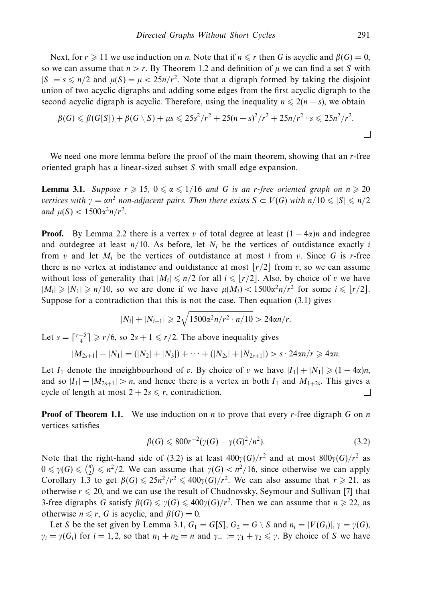Next, for  $r \geq 11$  we use induction on *n*. Note that if  $n \leq r$  then *G* is acyclic and  $\beta(G) = 0$ , so we can assume that  $n > r$ . By Theorem 1.2 and definition of  $μ$  we can find a set *S* with  $|S| = s \le n/2$  and  $\mu(S) = \mu < 25n/r^2$ . Note that a digraph formed by taking the disjoint union of two acyclic digraphs and adding some edges from the first acyclic digraph to the second acyclic digraph is acyclic. Therefore, using the inequality  $n \leq 2(n - s)$ , we obtain

$$
\beta(G) \leq \beta(G[S]) + \beta(G \setminus S) + \mu s \leq 25s^2/r^2 + 25(n-s)^2/r^2 + 25n/r^2 \cdot s \leq 25n^2/r^2.
$$

We need one more lemma before the proof of the main theorem, showing that an *r*-free oriented graph has a linear-sized subset *S* with small edge expansion.

**Lemma 3.1.** Suppose  $r \geq 15$ ,  $0 \leq \alpha \leq 1/16$  and G is an *r*-free oriented graph on  $n \geq 20$  $v$ ertices with  $γ = αn^2$  non-adjacent pairs. Then there exists  $S \subset V(G)$  with  $n/10 \leqslant |S| \leqslant n/2$  $and \mu(S) < 1500\alpha^2 n/r^2$ .

**Proof.** By Lemma 2.2 there is a vertex *v* of total degree at least  $(1 - 4\alpha)n$  and indegree and outdegree at least  $n/10$ . As before, let  $N_i$  be the vertices of outdistance exactly *i* from *v* and let  $M_i$  be the vertices of outdistance at most *i* from *v*. Since G is *r*-free there is no vertex at indistance and outdistance at most  $\left| r/2 \right|$  from *v*, so we can assume without loss of generality that  $|M_i| \le n/2$  for all  $i \le \lfloor r/2 \rfloor$ . Also, by choice of *v* we have  $|M_i| \geqslant |N_1| \geqslant n/10$ , so we are done if we have  $\mu(M_i) < 1500\alpha^2 n/r^2$  for some  $i \leqslant \lfloor r/2 \rfloor$ . Suppose for a contradiction that this is not the case. Then equation (3.1) gives

$$
|N_i| + |N_{i+1}| \geqslant 2\sqrt{1500\alpha^2 n/r^2 \cdot n/10} > 24\alpha n/r.
$$

Let  $s = \lceil \frac{r-5}{4} \rceil \geq r/6$ , so  $2s + 1 \leq r/2$ . The above inequality gives

$$
|M_{2s+1}|-|N_1|=(|N_2|+|N_3|)+\cdots+(|N_{2s}|+|N_{2s+1}|)>s\cdot 24\alpha n/r\geqslant 4\alpha n.
$$

Let  $I_1$  denote the inneighbourhood of *v*. By choice of *v* we have  $|I_1| + |N_1| \geq (1 - 4\alpha)n$ , and so  $|I_1| + |M_{2s+1}| > n$ , and hence there is a vertex in both  $I_1$  and  $M_{1+2s}$ . This gives a cycle of length at most  $2 + 2s \leq r$ , contradiction.  $\mathsf{L}$ 

**Proof of Theorem 1.1.** We use induction on *n* to prove that every *r*-free digraph *G* on *n* vertices satisfies

$$
\beta(G) \leqslant 800r^{-2}(\gamma(G) - \gamma(G)^2/n^2). \tag{3.2}
$$

Note that the right-hand side of (3.2) is at least  $400γ(G)/r^2$  and at most  $800γ(G)/r^2$  as  $0 \le \gamma(G) \le \binom{n}{2} \le n^2/2$ . We can assume that  $\gamma(G) < n^2/16$ , since otherwise we can apply Corollary 1.3 to get  $\beta(G) \leq 25n^2/r^2 \leq 400\gamma(G)/r^2$ . We can also assume that  $r \geq 21$ , as otherwise  $r \leq 20$ , and we can use the result of Chudnovsky, Seymour and Sullivan [7] that 3-free digraphs *G* satisfy  $\beta(G) \le \gamma(G) \le 400\gamma(G)/r^2$ . Then we can assume that  $n \ge 22$ , as otherwise  $n \le r$ , *G* is acyclic, and  $\beta(G) = 0$ .

Let *S* be the set given by Lemma 3.1,  $G_1 = G[S], G_2 = G \setminus S$  and  $n_i = |V(G_i)|, \gamma = \gamma(G)$ ,  $\gamma_i = \gamma(G_i)$  for  $i = 1, 2$ , so that  $n_1 + n_2 = n$  and  $\gamma_+ := \gamma_1 + \gamma_2 \leq \gamma$ . By choice of *S* we have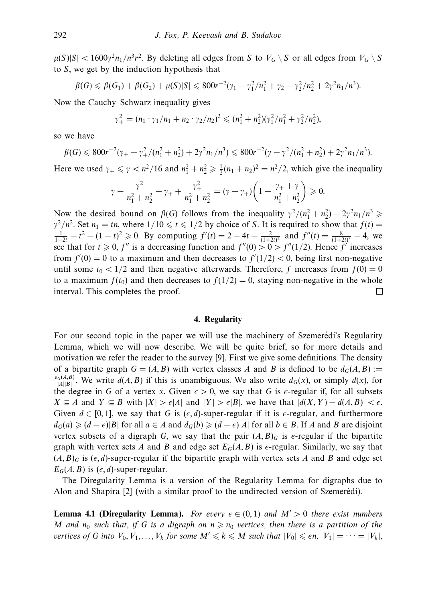$\mu(S)|S| < 1600\gamma^2 n_1/n^3 r^2$ . By deleting all edges from *S* to  $V_G \setminus S$  or all edges from  $V_G \setminus S$ to *S*, we get by the induction hypothesis that

$$
\beta(G) \leq \beta(G_1) + \beta(G_2) + \mu(S)|S| \leq 800r^{-2}(\gamma_1 - \gamma_1^2/n_1^2 + \gamma_2 - \gamma_2^2/n_2^2 + 2\gamma^2 n_1/n^3).
$$

Now the Cauchy–Schwarz inequality gives

$$
\gamma_+^2 = (n_1 \cdot \gamma_1/n_1 + n_2 \cdot \gamma_2/n_2)^2 \leq (n_1^2 + n_2^2)(\gamma_1^2/n_1^2 + \gamma_2^2/n_2^2),
$$

so we have

$$
\beta(G) \leq 800r^{-2}(\gamma_+ - \gamma_+^2/(n_1^2 + n_2^2) + 2\gamma^2 n_1/n^3) \leq 800r^{-2}(\gamma - \gamma^2/(n_1^2 + n_2^2) + 2\gamma^2 n_1/n^3).
$$

Here we used  $\gamma_+ \le \gamma < n^2/16$  and  $n_1^2 + n_2^2 \ge \frac{1}{2}(n_1 + n_2)^2 = n^2/2$ , which give the inequality

$$
\gamma - \frac{\gamma^2}{n_1^2 + n_2^2} - \gamma_+ + \frac{\gamma_+^2}{n_1^2 + n_2^2} = (\gamma - \gamma_+) \left( 1 - \frac{\gamma_+ + \gamma}{n_1^2 + n_2^2} \right) \geqslant 0.
$$

Now the desired bound on  $\beta(G)$  follows from the inequality  $\gamma^2/(n_1^2 + n_2^2) - 2\gamma^2 n_1/n^3 \geq 1$  $\gamma^2/n^2$ . Set  $n_1 = tn$ , where  $1/10 \le t \le 1/2$  by choice of *S*. It is required to show that  $f(t) =$  $\frac{1}{1+2t} - t^2 - (1-t)^2 \ge 0$ . By computing  $f'(t) = 2 - 4t - \frac{2}{(1+2t)^2}$  and  $f''(t) = \frac{8}{(1+2t)^3} - 4$ , we see that for  $t \ge 0$ ,  $f''$  is a decreasing function and  $f''(0) > 0 > f''(1/2)$ . Hence  $f'$  increases from  $f'(0) = 0$  to a maximum and then decreases to  $f'(1/2) < 0$ , being first non-negative until some  $t_0 < 1/2$  and then negative afterwards. Therefore, f increases from  $f(0) = 0$ to a maximum  $f(t_0)$  and then decreases to  $f(1/2) = 0$ , staying non-negative in the whole interval. This completes the proof.  $\Box$ 

#### **4. Regularity**

For our second topic in the paper we will use the machinery of Szemeredi's Regularity Lemma, which we will now describe. We will be quite brief, so for more details and motivation we refer the reader to the survey [9]. First we give some definitions. The density of a bipartite graph  $G = (A, B)$  with vertex classes A and B is defined to be  $d_G(A, B) :=$  $\frac{e_G(A,B)}{|A||B|}$ . We write  $d(A, B)$  if this is unambiguous. We also write  $d_G(x)$ , or simply  $d(x)$ , for the degree in *G* of a vertex *x*. Given  $\epsilon > 0$ , we say that *G* is  $\epsilon$ -regular if, for all subsets *X* ⊆ *A* and *Y* ⊆ *B* with  $|X| > \epsilon |A|$  and  $|Y| > \epsilon |B|$ , we have that  $|d(X, Y) - d(A, B)| < \epsilon$ . Given  $d \in [0, 1]$ , we say that G is  $(\epsilon, d)$ -super-regular if it is  $\epsilon$ -regular, and furthermore *d*<sub>*G*</sub>(*a*) ≥ (*d* −  $\epsilon$ )|*B*| for all *a* ∈ *A* and *d*<sub>*G*</sub>(*b*) ≥ (*d* −  $\epsilon$ )|*A*| for all *b* ∈ *B*. If *A* and *B* are disjoint vertex subsets of a digraph *G*, we say that the pair  $(A, B)_G$  is  $\epsilon$ -regular if the bipartite graph with vertex sets *A* and *B* and edge set  $E_G(A, B)$  is  $\epsilon$ -regular. Similarly, we say that  $(A, B)$ <sup>*G*</sup> is  $(\epsilon, d)$ -super-regular if the bipartite graph with vertex sets *A* and *B* and edge set  $E_G(A, B)$  is  $(\epsilon, d)$ -super-regular.

The Diregularity Lemma is a version of the Regularity Lemma for digraphs due to Alon and Shapira [2] (with a similar proof to the undirected version of Szemerédi).

**Lemma 4.1 (Diregularity Lemma).** For every  $\epsilon \in (0,1)$  and  $M' > 0$  there exist numbers *M* and  $n_0$  such that, if *G* is a digraph on  $n \geq n_0$  vertices, then there is a partition of the vertices of *G* into  $V_0, V_1, \ldots, V_k$  for some  $M' \leq k \leq M$  such that  $|V_0| \leq \epsilon n$ ,  $|V_1| = \cdots = |V_k|$ ,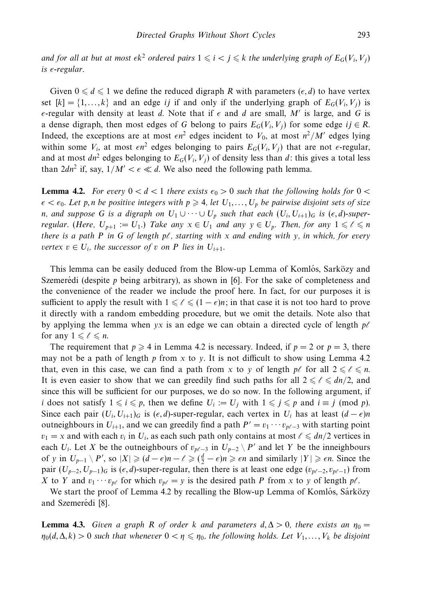and for all at but at most  $\epsilon k^2$  ordered pairs  $1 \leqslant i < j \leqslant k$  the underlying graph of  $E_G(V_i,V_j)$ is -regular.

Given  $0 \le d \le 1$  we define the reduced digraph *R* with parameters  $(\epsilon, d)$  to have vertex set  $[k] = \{1, \ldots, k\}$  and an edge *ij* if and only if the underlying graph of  $E_G(V_i, V_j)$  is  $\epsilon$ -regular with density at least *d*. Note that if  $\epsilon$  and *d* are small, *M'* is large, and *G* is a dense digraph, then most edges of *G* belong to pairs  $E_G(V_i, V_j)$  for some edge  $ij \in R$ . Indeed, the exceptions are at most  $\epsilon n^2$  edges incident to  $V_0$ , at most  $n^2/M'$  edges lying within some  $V_i$ , at most  $\epsilon n^2$  edges belonging to pairs  $E_G(V_i, V_j)$  that are not  $\epsilon$ -regular, and at most  $dn^2$  edges belonging to  $E_G(V_i, V_j)$  of density less than d: this gives a total less than  $2dn^2$  if, say,  $1/M' < \epsilon \ll d$ . We also need the following path lemma.

**Lemma 4.2.** For every  $0 < d < 1$  there exists  $\epsilon_0 > 0$  such that the following holds for  $0 <$  $\epsilon < \epsilon_0$ . Let *p,n be positive integers with*  $p \geqslant 4$ *, let*  $U_1, \ldots, U_p$  *be pairwise disjoint sets of size n, and suppose G is a digraph on*  $U_1 \cup \cdots \cup U_p$  such that each  $(U_i, U_{i+1})_G$  is  $(\epsilon, d)$ -superregular. (Here,  $U_{p+1} := U_1$ .) Take any  $x \in U_1$  and any  $y \in U_p$ . Then, for any  $1 \leqslant \ell \leqslant n$ there is a path P in G of length  $p\ell$ , starting with x and ending with y, in which, for every *vertex*  $v \in U_i$ , the successor of *v* on *P* lies in  $U_{i+1}$ .

This lemma can be easily deduced from the Blow-up Lemma of Komlós, Sarközy and Szemeredi (despite  $p$  being arbitrary), as shown in [6]. For the sake of completeness and the convenience of the reader we include the proof here. In fact, for our purposes it is sufficient to apply the result with  $1 \leqslant \ell \leqslant (1 - \epsilon)n$ ; in that case it is not too hard to prove it directly with a random embedding procedure, but we omit the details. Note also that by applying the lemma when  $yx$  is an edge we can obtain a directed cycle of length  $p\ell$ for any  $1 \leqslant \ell \leqslant n$ .

The requirement that  $p \ge 4$  in Lemma 4.2 is necessary. Indeed, if  $p = 2$  or  $p = 3$ , there may not be a path of length *p* from *x* to *y*. It is not difficult to show using Lemma 4.2 that, even in this case, we can find a path from *x* to *y* of length  $p\ell$  for all  $2 \leq \ell \leq n$ . It is even easier to show that we can greedily find such paths for all  $2 \leq \ell \leq dn/2$ , and since this will be sufficient for our purposes, we do so now. In the following argument, if *i* does not satisfy  $1 \leq i \leq p$ , then we define  $U_i := U_j$  with  $1 \leq j \leq p$  and  $i \equiv j \pmod{p}$ . Since each pair  $(U_i, U_{i+1})_G$  is  $(\epsilon, d)$ -super-regular, each vertex in  $U_i$  has at least  $(d - \epsilon)n$ outneighbours in  $U_{i+1}$ , and we can greedily find a path  $P' = v_1 \cdots v_{p\ell-3}$  with starting point  $v_1 = x$  and with each  $v_i$  in  $U_i$ , as each such path only contains at most  $\ell \leq d/n/2$  vertices in each *U<sub>i</sub>*. Let *X* be the outneighbours of  $v_{p\ell-3}$  in  $U_{p-2} \setminus P'$  and let *Y* be the inneighbours of *y* in  $U_{p-1} \setminus P'$ , so  $|X| \geqslant (d - \epsilon)n - \ell \geqslant (\frac{d}{2} - \epsilon)n \geqslant \epsilon n$  and similarly  $|Y| \geqslant \epsilon n$ . Since the pair  $(U_{p-2}, U_{p-1})_G$  is  $(\epsilon, d)$ -super-regular, then there is at least one edge  $(v_{p\ell-2}, v_{p\ell-1})$  from *X* to *Y* and  $v_1 \cdots v_{p\ell}$  for which  $v_{p\ell} = y$  is the desired path *P* from *x* to *y* of length  $p\ell$ .

We start the proof of Lemma 4.2 by recalling the Blow-up Lemma of Komlós, Sárközy and Szemerédi [8].

**Lemma 4.3.** Given a graph R of order k and parameters  $d, \Delta > 0$ , there exists an  $\eta_0 =$  $\eta_0(d, \Delta, k) > 0$  such that whenever  $0 < \eta \leqslant \eta_0$ , the following holds. Let  $V_1, \ldots, V_k$  be disjoint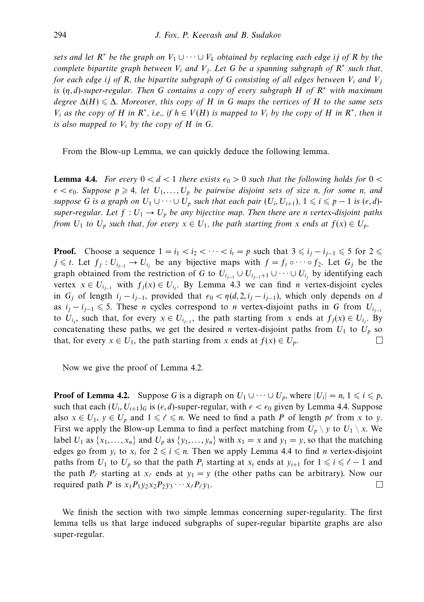sets and let  $R^*$  be the graph on  $V_1 \cup \cdots \cup V_k$  obtained by replacing each edge *ij* of  $R$  by the complete bipartite graph between  $V_i$  and  $V_j$ . Let G be a spanning subgraph of  $R^*$  such that, for each edge *ij* of R, the bipartite subgraph of G consisting of all edges between  $V_i$  and  $V_j$ is (*η, d*)-super-regular. Then *G* contains a copy of every subgraph *H* of *R*<sup>∗</sup> with maximum  $\deg$ ree  $\Delta(H) \leqslant \Delta$ . Moreover, this copy of  $H$  in  $G$  maps the vertices of  $H$  to the same sets *V<sub>i</sub>* as the copy of *H* in  $R^*$ , i.e., if  $h \in V(H)$  is mapped to *V<sub>i</sub>* by the copy of *H* in  $R^*$ , then it is also mapped to  $V_i$  by the copy of  $H$  in  $G$ .

From the Blow-up Lemma, we can quickly deduce the following lemma.

**Lemma 4.4.** For every  $0 < d < 1$  there exists  $\epsilon_0 > 0$  such that the following holds for  $0 <$  $\epsilon < \epsilon_0$ . Suppose  $p \geqslant 4$ , let  $U_1, \ldots, U_p$  be pairwise disjoint sets of size *n*, for some *n*, and suppose *G* is a graph on  $U_1 \cup \cdots \cup U_p$  such that each pair  $(U_i, U_{i+1})$ ,  $1 \leq i \leq p-1$  is  $(\epsilon, d)$ super-regular. Let  $f: U_1 \to U_p$  be any bijective map. Then there are *n* vertex-disjoint paths from  $U_1$  to  $U_p$  such that, for every  $x \in U_1$ , the path starting from  $x$  ends at  $f(x) \in U_p$ .

**Proof.** Choose a sequence  $1 = i_1 < i_2 < \cdots < i_t = p$  such that  $3 \leq i_j - i_{j-1} \leq 5$  for  $2 \leq i_j$ *j* ≤ *t*. Let *f<sub>j</sub>* : *U*<sub>*i*<sub>j</sub>-1</sub> → *U*<sub>*i*</sub> be any bijective maps with *f* = *f<sub>t</sub>* ∘ · · · ○ *f*<sub>2</sub>. Let *G<sub>j</sub>* be the graph obtained from the restriction of *G* to  $U_{i_{i-1}} \cup U_{i_{i-1}+1} \cup \cdots \cup U_{i_j}$  by identifying each vertex  $x \in U_{i_{i-1}}$  with  $f_i(x) \in U_i$ . By Lemma 4.3 we can find *n* vertex-disjoint cycles in  $G_j$  of length  $i_j - i_{j-1}$ , provided that  $\epsilon_0 < \eta(d, 2, i_j - i_{j-1})$ , which only depends on *d* as  $i_j - i_{j-1} \leqslant 5$ . These *n* cycles correspond to *n* vertex-disjoint paths in *G* from  $U_{i_{j-1}}$ to  $U_{i_j}$ , such that, for every  $x \in U_{i_{j-1}}$ , the path starting from *x* ends at  $f_j(x) \in U_{i_j}$ . By concatenating these paths, we get the desired *n* vertex-disjoint paths from  $U_1$  to  $U_p$  so that, for every  $x \in U_1$ , the path starting from x ends at  $f(x) \in U_p$ . П

Now we give the proof of Lemma 4.2.

**Proof of Lemma 4.2.** Suppose *G* is a digraph on  $U_1 \cup \cdots \cup U_p$ , where  $|U_i| = n, 1 \leq i \leq p$ , such that each  $(U_i, U_{i+1})_G$  is  $(\epsilon, d)$ -super-regular, with  $\epsilon < \epsilon_0$  given by Lemma 4.4. Suppose also  $x \in U_1$ ,  $y \in U_p$  and  $1 \leq \ell \leq n$ . We need to find a path *P* of length  $p\ell$  from *x* to *y*. First we apply the Blow-up Lemma to find a perfect matching from  $U_p \setminus y$  to  $U_1 \setminus x$ . We label *U*<sub>1</sub> as  $\{x_1, \ldots, x_n\}$  and *U<sub>p</sub>* as  $\{y_1, \ldots, y_n\}$  with  $x_1 = x$  and  $y_1 = y$ , so that the matching edges go from  $y_i$  to  $x_i$  for  $2 \leq i \leq n$ . Then we apply Lemma 4.4 to find *n* vertex-disjoint paths from  $U_1$  to  $U_p$  so that the path  $P_i$  starting at  $x_i$  ends at  $y_{i+1}$  for  $1 \leq i \leq l-1$  and the path  $P_\ell$  starting at  $x_\ell$  ends at  $y_1 = y$  (the other paths can be arbitrary). Now our required path *P* is  $x_1P_1y_2x_2P_2y_3 \cdots x_\ell P_\ell y_1$ .  $\Box$ 

We finish the section with two simple lemmas concerning super-regularity. The first lemma tells us that large induced subgraphs of super-regular bipartite graphs are also super-regular.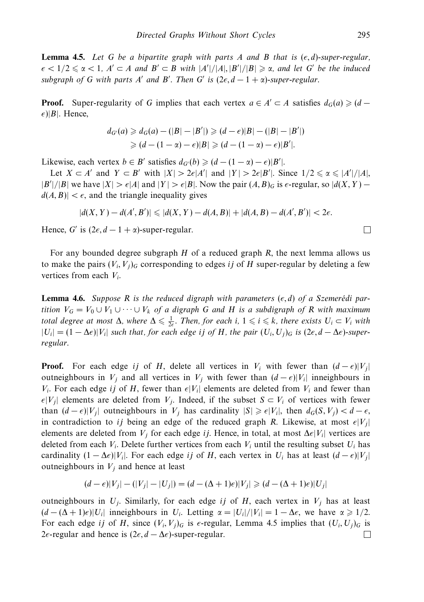**Lemma 4.5.** Let *G* be a bipartite graph with parts *A* and *B* that is ( *, d*)-super-regular,  $\epsilon$  < 1/2  $\leq$   $\alpha$  < 1, *A*'  $\subset$  *A* and *B'*  $\subset$  *B* with  $|A'|/|A|, |B'|/|B| \geq \alpha$ , and let *G'* be the induced  $\mathcal{L}$  subgraph of *G* with parts *A'* and *B'*. Then *G'* is  $(2\epsilon, d - 1 + \alpha)$ -super-regular.

**Proof.** Super-regularity of *G* implies that each vertex  $a \in A' \subset A$  satisfies  $d_G(a) \geq d \epsilon$ )|*B*|. Hence,

$$
d_{G'}(a) \geq d_G(a) - (|B| - |B'|) \geq (d - \epsilon)|B| - (|B| - |B'|)
$$
  
\n
$$
\geq (d - (1 - \alpha) - \epsilon)|B| \geq (d - (1 - \alpha) - \epsilon)|B'|.
$$

Likewise, each vertex  $b \in B'$  satisfies  $d_{G'}(b) \geq (d - (1 - \alpha) - \epsilon)|B'|$ .

Let  $X \subset A'$  and  $Y \subset B'$  with  $|X| > 2\epsilon |A'|$  and  $|Y| > 2\epsilon |B'|$ . Since  $1/2 \le \alpha \le |A'|/|A|$ ,  $|B'|/|B|$  we have  $|X| > \epsilon |A|$  and  $|Y| > \epsilon |B|$ . Now the pair  $(A, B)_G$  is  $\epsilon$ -regular, so  $|d(X, Y) - d(X)|$  $d(A, B)| < \epsilon$ , and the triangle inequality gives

$$
|d(X,Y) - d(A',B')| \leq |d(X,Y) - d(A,B)| + |d(A,B) - d(A',B')| < 2\epsilon.
$$

Hence, *G'* is  $(2\epsilon, d - 1 + \alpha)$ -super-regular.

For any bounded degree subgraph *H* of a reduced graph *R*, the next lemma allows us to make the pairs  $(V_i, V_j)$ <sup>G</sup> corresponding to edges *ij* of *H* super-regular by deleting a few vertices from each *Vi*.

**Lemma 4.6.** Suppose R is the reduced digraph with parameters  $(\epsilon, d)$  of a Szemerédi partition  $V_G = V_0 ∪ V_1 ∪ ⋯ ∪ V_k$  of a digraph *G* and *H* is a subdigraph of *R* with maximum total degree at most  $\Delta$ , where  $\Delta \leq \frac{1}{2\epsilon}$ . Then, for each *i*,  $1 \leq i \leq k$ , there exists  $U_i \subset V_i$  with  $|U_i| = (1 - \Delta \epsilon)|V_i|$  such that, for each edge *ij* of *H*, the pair  $(U_i, U_j)$ <sub>G</sub> is  $(2\epsilon, d - \Delta \epsilon)$ -superregular.

**Proof.** For each edge *ij* of *H*, delete all vertices in *V<sub>i</sub>* with fewer than  $(d - \epsilon)|V_j|$ outneighbours in *V<sub>j</sub>* and all vertices in *V<sub>j</sub>* with fewer than  $(d - \epsilon)|V_i|$  inneighbours in  $V_i$ . For each edge *ij* of *H*, fewer than  $\epsilon |V_i|$  elements are deleted from  $V_i$  and fewer than  $\epsilon$ <sup>*|V<sub>j</sub>*| elements are deleted from *V<sub>j</sub>*. Indeed, if the subset *S* ⊂ *V<sub>i</sub>* of vertices with fewer</sup> than  $(d - \epsilon)|V_j|$  outneighbours in  $V_j$  has cardinality  $|S| \geq \epsilon|V_i|$ , then  $d_G(S, V_j) < d - \epsilon$ , in contradiction to *ij* being an edge of the reduced graph *R*. Likewise, at most  $\epsilon |V_j|$ elements are deleted from *Vj* for each edge *ij*. Hence, in total, at most Δ|*Vi*| vertices are deleted from each  $V_i$ . Delete further vertices from each  $V_i$  until the resulting subset  $U_i$  has cardinality  $(1 - \Delta \epsilon)|V_i|$ . For each edge *ij* of *H*, each vertex in *U<sub>i</sub>* has at least  $(d - \epsilon)|V_j|$ outneighbours in  $V_i$  and hence at least

$$
(d - \epsilon)|V_j| - (|V_j| - |U_j|) = (d - (\Delta + 1)\epsilon)|V_j| \geq (d - (\Delta + 1)\epsilon)|U_j|
$$

outneighbours in  $U_i$ . Similarly, for each edge *ij* of *H*, each vertex in  $V_i$  has at least  $(d - (\Delta + 1)\epsilon)|U_i|$  inneighbours in  $U_i$ . Letting  $\alpha = |U_i|/|V_i| = 1 - \Delta\epsilon$ , we have  $\alpha \geq 1/2$ . For each edge *ij* of *H*, since  $(V_i, V_j)_G$  is  $\epsilon$ -regular, Lemma 4.5 implies that  $(U_i, U_j)_G$  is 2 $\epsilon$ -regular and hence is  $(2\epsilon, d - \Delta \epsilon)$ -super-regular.  $\Box$ 

 $\Box$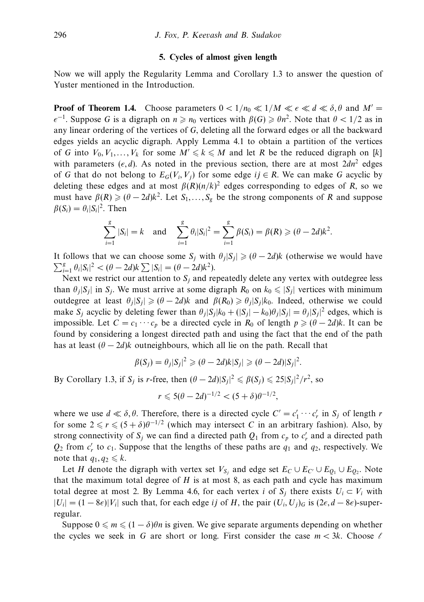## **5. Cycles of almost given length**

Now we will apply the Regularity Lemma and Corollary 1.3 to answer the question of Yuster mentioned in the Introduction.

**Proof of Theorem 1.4.** Choose parameters  $0 < 1/n_0 \ll 1/M \ll \epsilon \ll d \ll \delta, \theta$  and  $M' =$  $\epsilon^{-1}$ . Suppose *G* is a digraph on  $n \ge n_0$  vertices with  $\beta(G) \ge \theta n^2$ . Note that  $\theta < 1/2$  as in any linear ordering of the vertices of *G*, deleting all the forward edges or all the backward edges yields an acyclic digraph. Apply Lemma 4.1 to obtain a partition of the vertices of *G* into  $V_0, V_1, \ldots, V_k$  for some  $M' \leq k \leq M$  and let *R* be the reduced digraph on [*k*] with parameters  $(\epsilon, d)$ . As noted in the previous section, there are at most  $2dn^2$  edges of *G* that do not belong to  $E_G(V_i, V_j)$  for some edge  $ij \in R$ . We can make *G* acyclic by deleting these edges and at most  $\beta(R)(n/k)^2$  edges corresponding to edges of *R*, so we must have  $\beta(R) \geqslant (\theta - 2d)k^2$ . Let  $S_1, \ldots, S_g$  be the strong components of R and suppose  $\beta(S_i) = \theta_i |S_i|^2$ . Then

$$
\sum_{i=1}^{g} |S_i| = k \text{ and } \sum_{i=1}^{g} \theta_i |S_i|^2 = \sum_{i=1}^{g} \beta(S_i) = \beta(R) \geq (\theta - 2d)k^2.
$$

It follows that we can choose some  $S_j$  with  $\theta_j|S_j| \geq (\theta - 2d)k$  (otherwise we would have  $\sum_{i=1}^{g} \theta_i |S_i|^2 < (\theta - 2d)k \sum |S_i| = (\theta - 2d)k^2$ .

Next we restrict our attention to  $S_i$  and repeatedly delete any vertex with outdegree less than  $\theta_j|S_j|$  in  $S_j$ . We must arrive at some digraph  $R_0$  on  $k_0 \leq |S_j|$  vertices with minimum outdegree at least  $\theta_j |S_j| \geq (\theta - 2d)k$  and  $\beta(R_0) \geq \theta_j |S_j| k_0$ . Indeed, otherwise we could make *S<sub>j</sub>* acyclic by deleting fewer than  $\theta_j|S_j|k_0 + (|S_j| - k_0)\theta_j|S_j| = \theta_j|S_j|^2$  edges, which is impossible. Let  $C = c_1 \cdots c_p$  be a directed cycle in  $R_0$  of length  $p \geq (\theta - 2d)k$ . It can be found by considering a longest directed path and using the fact that the end of the path has at least  $(\theta - 2d)$ *k* outneighbours, which all lie on the path. Recall that

$$
\beta(S_j) = \theta_j |S_j|^2 \geqslant (\theta - 2d)k|S_j| \geqslant (\theta - 2d)|S_j|^2.
$$

By Corollary 1.3, if  $S_j$  is *r*-free, then  $(\theta - 2d)|S_j|^2 \le \beta(S_j) \le 25|S_j|^2/r^2$ , so

$$
r \leqslant 5(\theta - 2d)^{-1/2} < (5 + \delta)\theta^{-1/2},
$$

where we use  $d \ll \delta$ ,  $\theta$ . Therefore, there is a directed cycle  $C' = c'_1 \cdots c'_r$  in  $S_j$  of length *r* for some  $2 \le r \le (5 + \delta)\theta^{-1/2}$  (which may intersect *C* in an arbitrary fashion). Also, by strong connectivity of  $S_j$  we can find a directed path  $Q_1$  from  $c_p$  to  $c'_r$  and a directed path  $Q_2$  from  $c'_r$  to  $c_1$ . Suppose that the lengths of these paths are  $q_1$  and  $q_2$ , respectively. We note that  $q_1, q_2 \leq k$ .

Let *H* denote the digraph with vertex set  $V_{S_i}$  and edge set  $E_C \cup E_{C'} \cup E_{O_1} \cup E_{O_2}$ . Note that the maximum total degree of *H* is at most 8, as each path and cycle has maximum total degree at most 2. By Lemma 4.6, for each vertex *i* of  $S_i$  there exists  $U_i \subset V_i$  with  $|U_i|$  = (1 − 8 $\epsilon$ )| $V_i$ | such that, for each edge *ij* of *H*, the pair  $(U_i, U_j)_G$  is (2 $\epsilon$ , *d* − 8 $\epsilon$ )-superregular.

Suppose  $0 \le m \le (1 - \delta)\theta n$  is given. We give separate arguments depending on whether the cycles we seek in *G* are short or long. First consider the case  $m < 3k$ . Choose  $\ell$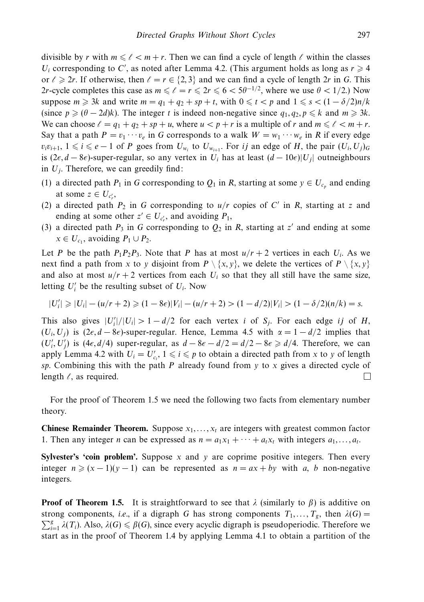divisible by *r* with  $m \leq \ell < m + r$ . Then we can find a cycle of length  $\ell$  within the classes *U<sub>i</sub>* corresponding to *C*', as noted after Lemma 4.2. (This argument holds as long as  $r \ge 4$ or  $\ell \geq 2r$ . If otherwise, then  $\ell = r \in \{2,3\}$  and we can find a cycle of length 2*r* in *G*. This 2*r*-cycle completes this case as  $m \leq \ell = r \leq 2r \leq 6 < 5\theta^{-1/2}$ , where we use  $\theta < 1/2$ .) Now suppose  $m \ge 3k$  and write  $m = q_1 + q_2 + sp + t$ , with  $0 \le t < p$  and  $1 \le s < (1 - \delta/2)n/k$ (since  $p \geq (\theta - 2d)k$ ). The integer *t* is indeed non-negative since  $q_1, q_2, p \leq k$  and  $m \geq 3k$ . We can choose  $\ell = q_1 + q_2 + sp + u$ , where  $u < p + r$  is a multiple of r and  $m \leq \ell < m + r$ . Say that a path  $P = v_1 \cdots v_e$  in *G* corresponds to a walk  $W = w_1 \cdots w_e$  in *R* if every edge  $v_i v_{i+1}, 1 \leq i \leq e-1$  of *P* goes from  $U_{w_i}$  to  $U_{w_{i+1}}$ . For *ij* an edge of *H*, the pair  $(U_i, U_j)$ <sub>G</sub> is (2*∈*, *d* − 8*∈*)-super-regular, so any vertex in *U<sub>i</sub>* has at least (*d* − 10*∈*)|*U<sub>j</sub>*| outneighbours in  $U_i$ . Therefore, we can greedily find:

- (1) a directed path  $P_1$  in *G* corresponding to  $Q_1$  in *R*, starting at some  $y \in U_{c_p}$  and ending at some  $z \in U_{c_r'}$ ,
- (2) a directed path  $P_2$  in *G* corresponding to  $u/r$  copies of *C'* in *R*, starting at *z* and ending at some other  $z' \in U_{c'_r}$ , and avoiding  $P_1$ ,
- (3) a directed path  $P_3$  in *G* corresponding to  $Q_2$  in *R*, starting at *z'* and ending at some  $x \in U_{c_1}$ , avoiding  $P_1 \cup P_2$ .

Let *P* be the path  $P_1P_2P_3$ . Note that *P* has at most  $u/r + 2$  vertices in each  $U_i$ . As we next find a path from *x* to *y* disjoint from  $P \setminus \{x, y\}$ , we delete the vertices of  $P \setminus \{x, y\}$ and also at most  $u/r + 2$  vertices from each  $U_i$  so that they all still have the same size, letting  $U_i'$  be the resulting subset of  $U_i$ . Now

$$
|U_i'| \geq |U_i| - (u/r + 2) \geq (1 - 8\epsilon)|V_i| - (u/r + 2) > (1 - d/2)|V_i| > (1 - \delta/2)(n/k) = s.
$$

This also gives  $|U_i'|/|U_i| > 1 - d/2$  for each vertex *i* of *S<sub>j</sub>*. For each edge *ij* of *H*,  $(U_i, U_j)$  is  $(2\epsilon, d - 8\epsilon)$ -super-regular. Hence, Lemma 4.5 with  $\alpha = 1 - d/2$  implies that  $(U'_i, U'_j)$  is  $(4\epsilon, d/4)$  super-regular, as  $d - 8\epsilon - d/2 = d/2 - 8\epsilon \ge d/4$ . Therefore, we can apply Lemma 4.2 with  $U_i = U'_{c_i}$ ,  $1 \leq i \leq p$  to obtain a directed path from *x* to *y* of length *sp*. Combining this with the path *P* already found from *y* to *x* gives a directed cycle of length  $\ell$ , as required.  $\Box$ 

For the proof of Theorem 1.5 we need the following two facts from elementary number theory.

**Chinese Remainder Theorem.** Suppose  $x_1, \ldots, x_t$  are integers with greatest common factor 1. Then any integer *n* can be expressed as  $n = a_1x_1 + \cdots + a_tx_t$  with integers  $a_1, \ldots, a_t$ .

**Sylvester's 'coin problem'.** Suppose *x* and *y* are coprime positive integers. Then every integer  $n \ge (x - 1)(y - 1)$  can be represented as  $n = ax + by$  with *a*, *b* non-negative integers.

**Proof of Theorem 1.5.** It is straightforward to see that  $\lambda$  (similarly to  $\beta$ ) is additive on strong components, *i.e.*, if a digraph *G* has strong components  $T_1, \ldots, T_g$ , then  $\lambda(G)$  =  $\sum_{i=1}^{g} \lambda(T_i)$ . Also,  $\lambda(G) \leq \beta(G)$ , since every acyclic digraph is pseudoperiodic. Therefore we start as in the proof of Theorem 1.4 by applying Lemma 4.1 to obtain a partition of the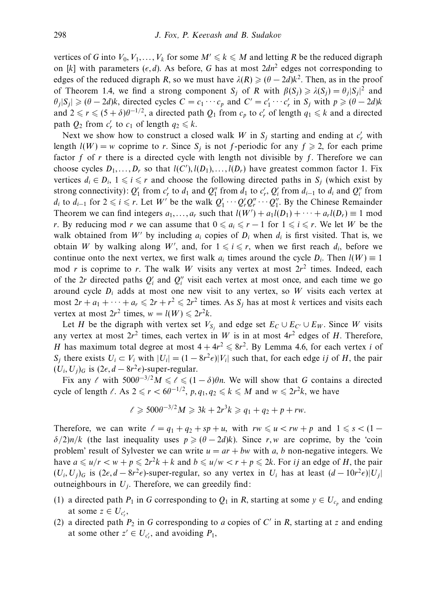vertices of *G* into  $V_0, V_1, \ldots, V_k$  for some  $M' \leq k \leq M$  and letting *R* be the reduced digraph on [k] with parameters  $(\epsilon, d)$ . As before, G has at most  $2dn^2$  edges not corresponding to edges of the reduced digraph *R*, so we must have  $\lambda(R) \geq (\theta - 2d)k^2$ . Then, as in the proof of Theorem 1.4, we find a strong component *S<sub>j</sub>* of *R* with  $\beta(S_j) \ge \lambda(S_j) = \theta_j |S_j|^2$  and  $\theta_j|S_j| \geq (\theta - 2d)k$ , directed cycles  $C = c_1 \cdots c_p$  and  $C' = c'_1 \cdots c'_r$  in  $S_j$  with  $p \geq (\theta - 2d)k$ and  $2 \le r \le (5 + \delta)\theta^{-1/2}$ , a directed path  $Q_1$  from  $c_p$  to  $c'_r$  of length  $q_1 \le k$  and a directed path  $Q_2$  from  $c'_r$  to  $c_1$  of length  $q_2 \leq k$ .

Next we show how to construct a closed walk *W* in  $S_j$  starting and ending at  $c'_r$  with length  $l(W) = w$  coprime to *r*. Since  $S_i$  is not *f*-periodic for any  $f \ge 2$ , for each prime factor *f* of *r* there is a directed cycle with length not divisible by *f*. Therefore we can choose cycles  $D_1, \ldots, D_r$  so that  $l(C'), l(D_1), \ldots, l(D_r)$  have greatest common factor 1. Fix vertices  $d_i \in D_i$ ,  $1 \leq i \leq r$  and choose the following directed paths in  $S_j$  (which exist by strong connectivity):  $Q'_1$  from  $c'_r$  to  $d_1$  and  $Q''_1$  from  $d_1$  to  $c'_r$ ,  $Q'_i$  from  $d_{i-1}$  to  $d_i$  and  $Q''_i$  from *d<sub>i</sub>* to *d<sub>i−1</sub>* for  $2 \le i \le r$ . Let *W*' be the walk  $Q'_1 \cdots Q'_r Q''_r \cdots Q''_1$ . By the Chinese Remainder Theorem we can find integers  $a_1, \ldots, a_r$  such that  $l(W') + a_1l(D_1) + \cdots + a_rl(D_r) \equiv 1 \text{ mod } 2$ *r*. By reducing mod *r* we can assume that  $0 \le a_i \le r - 1$  for  $1 \le i \le r$ . We let *W* be the walk obtained from  $W'$  by including  $a_i$  copies of  $D_i$  when  $d_i$  is first visited. That is, we obtain *W* by walking along *W'*, and, for  $1 \le i \le r$ , when we first reach  $d_i$ , before we continue onto the next vertex, we first walk  $a_i$  times around the cycle  $D_i$ . Then  $l(W) \equiv 1$ mod *r* is coprime to *r*. The walk *W* visits any vertex at most  $2r^2$  times. Indeed, each of the 2*r* directed paths  $Q_i'$  and  $Q_i''$  visit each vertex at most once, and each time we go around cycle  $D_i$  adds at most one new visit to any vertex, so W visits each vertex at most  $2r + a_1 + \cdots + a_r \leq 2r + r^2 \leq 2r^2$  times. As  $S_j$  has at most *k* vertices and visits each vertex at most  $2r^2$  times,  $w = l(W) \leq 2r^2k$ .

Let *H* be the digraph with vertex set  $V_{S_i}$  and edge set  $E_C \cup E_{C'} \cup E_W$ . Since *W* visits any vertex at most  $2r^2$  times, each vertex in *W* is in at most  $4r^2$  edges of *H*. Therefore, *H* has maximum total degree at most  $4 + 4r^2 \le 8r^2$ . By Lemma 4.6, for each vertex *i* of *S<sub>j</sub>* there exists  $U_i \subset V_i$  with  $|U_i| = (1 - 8r^2 \epsilon)|V_i|$  such that, for each edge *ij* of *H*, the pair  $(U_i, U_j)_G$  is  $(2\epsilon, d - 8r^2\epsilon)$ -super-regular.

Fix any  $\ell$  with  $500\theta^{-3/2}M \leq \ell \leq (1 - \delta)\theta n$ . We will show that *G* contains a directed cycle of length  $\ell$ . As  $2 \le r < 6\theta^{-1/2}$ ,  $p, q_1, q_2 \le k \le M$  and  $w \le 2r^2k$ , we have

$$
\ell \geqslant 500\theta^{-3/2}M \geqslant 3k + 2r^3k \geqslant q_1 + q_2 + p + rw.
$$

Therefore, we can write  $\ell = q_1 + q_2 + sp + u$ , with  $rw \leq u < rw + p$  and  $1 \leq s < (1 - p)$  $\delta/2$ )*n/k* (the last inequality uses  $p \ge (\theta - 2d)k$ ). Since *r, w* are coprime, by the 'coin problem' result of Sylvester we can write  $u = ar + bw$  with *a*, *b* non-negative integers. We have  $a \leq u/r < w + p \leq 2r^2k + k$  and  $b \leq u/w < r + p \leq 2k$ . For *ij* an edge of *H*, the pair  $(U_i, U_j)_G$  is  $(2\epsilon, d - 8r^2\epsilon)$ -super-regular, so any vertex in  $U_i$  has at least  $(d - 10r^2\epsilon)|U_j|$ outneighbours in  $U_i$ . Therefore, we can greedily find:

- (1) a directed path  $P_1$  in *G* corresponding to  $Q_1$  in *R*, starting at some  $y \in U_{c_p}$  and ending at some  $z \in U_{c_r'}$ ,
- (2) a directed path  $P_2$  in *G* corresponding to *a* copies of *C'* in *R*, starting at *z* and ending at some other  $z' \in U_{c'_r}$ , and avoiding  $P_1$ ,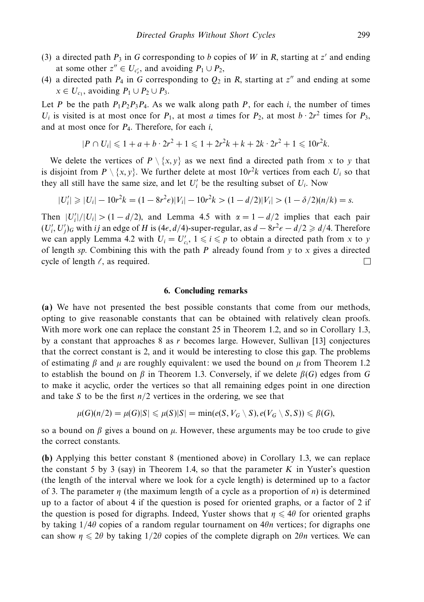- (3) a directed path  $P_3$  in *G* corresponding to *b* copies of *W* in *R*, starting at *z'* and ending at some other  $z'' \in U_{c'_r}$ , and avoiding  $P_1 \cup P_2$ ,
- (4) a directed path  $P_4$  in *G* corresponding to  $Q_2$  in *R*, starting at *z*<sup>*n*</sup> and ending at some  $x \in U_{c_1}$ , avoiding  $P_1 \cup P_2 \cup P_3$ .

Let *P* be the path  $P_1P_2P_3P_4$ . As we walk along path *P*, for each *i*, the number of times *U<sub>i</sub>* is visited is at most once for  $P_1$ , at most *a* times for  $P_2$ , at most  $b \cdot 2r^2$  times for  $P_3$ , and at most once for *P*4. Therefore, for each *i*,

$$
|P \cap U_i| \leq 1 + a + b \cdot 2r^2 + 1 \leq 1 + 2r^2k + k + 2k \cdot 2r^2 + 1 \leq 10r^2k.
$$

We delete the vertices of  $P \setminus \{x, y\}$  as we next find a directed path from x to y that is disjoint from  $P \setminus \{x, y\}$ . We further delete at most  $10r^2k$  vertices from each  $U_i$  so that they all still have the same size, and let  $U_i'$  be the resulting subset of  $U_i$ . Now

$$
|U_i'| \ge |U_i| - 10r^2k = (1 - 8r^2\epsilon)|V_i| - 10r^2k > (1 - d/2)|V_i| > (1 - \delta/2)(n/k) = s.
$$

Then  $|U_i'|/|U_i| > (1 - d/2)$ , and Lemma 4.5 with  $\alpha = 1 - d/2$  implies that each pair  $(U'_i, U'_j)_G$  with *ij* an edge of *H* is (4*€*, *d*/4)-super-regular, as *d* − 8*r*<sup>2</sup>*€* − *d*/2  $\geq$  *d*/4. Therefore we can apply Lemma 4.2 with  $U_i = U'_{c_i}$ ,  $1 \le i \le p$  to obtain a directed path from *x* to *y* of length *sp*. Combining this with the path *P* already found from *y* to *x* gives a directed cycle of length  $\ell$ , as required.  $\Box$ 

### **6. Concluding remarks**

**(a)** We have not presented the best possible constants that come from our methods, opting to give reasonable constants that can be obtained with relatively clean proofs. With more work one can replace the constant 25 in Theorem 1.2, and so in Corollary 1.3, by a constant that approaches 8 as *r* becomes large. However, Sullivan [13] conjectures that the correct constant is 2, and it would be interesting to close this gap. The problems of estimating *β* and *μ* are roughly equivalent: we used the bound on *μ* from Theorem 1.2 to establish the bound on *β* in Theorem 1.3. Conversely, if we delete *β*(*G*) edges from *G* to make it acyclic, order the vertices so that all remaining edges point in one direction and take *S* to be the first *n/*2 vertices in the ordering, we see that

$$
\mu(G)(n/2) = \mu(G)|S| \leq \mu(S)|S| = \min(e(S, V_G \setminus S), e(V_G \setminus S, S)) \leq \beta(G),
$$

so a bound on  $\beta$  gives a bound on  $\mu$ . However, these arguments may be too crude to give the correct constants.

**(b)** Applying this better constant 8 (mentioned above) in Corollary 1.3, we can replace the constant 5 by 3 (say) in Theorem 1.4, so that the parameter *K* in Yuster's question (the length of the interval where we look for a cycle length) is determined up to a factor of 3. The parameter *η* (the maximum length of a cycle as a proportion of *n*) is determined up to a factor of about 4 if the question is posed for oriented graphs, or a factor of 2 if the question is posed for digraphs. Indeed, Yuster shows that  $\eta \leq 4\theta$  for oriented graphs by taking 1*/*4*θ* copies of a random regular tournament on 4*θn* vertices; for digraphs one can show  $\eta \leq 2\theta$  by taking  $1/2\theta$  copies of the complete digraph on  $2\theta n$  vertices. We can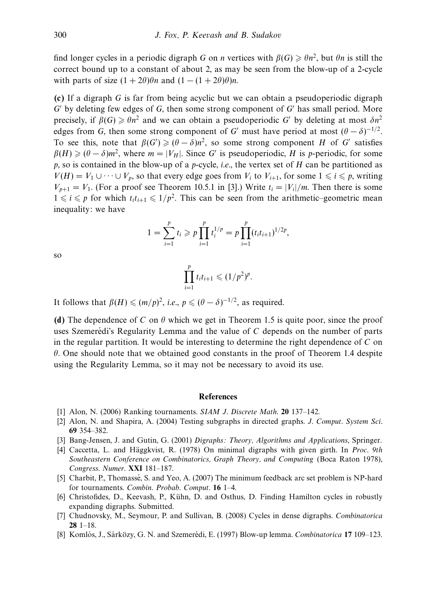find longer cycles in a periodic digraph *G* on *n* vertices with  $\beta(G) \ge \theta n^2$ , but  $\theta n$  is still the correct bound up to a constant of about 2, as may be seen from the blow-up of a 2-cycle with parts of size  $(1 + 2\theta)\theta n$  and  $(1 - (1 + 2\theta)\theta)n$ .

**(c)** If a digraph *G* is far from being acyclic but we can obtain a pseudoperiodic digraph *G* by deleting few edges of *G*, then some strong component of *G* has small period. More precisely, if  $\beta(G) \geq \theta n^2$  and we can obtain a pseudoperiodic *G'* by deleting at most  $\delta n^2$ edges from *G*, then some strong component of *G'* must have period at most  $(\theta - \delta)^{-1/2}$ . To see this, note that  $\beta(G') \geq (\theta - \delta)n^2$ , so some strong component *H* of *G'* satisfies  $\beta(H) \geq (\theta - \delta)m^2$ , where  $m = |V_H|$ . Since *G'* is pseudoperiodic, *H* is *p*-periodic, for some *p*, so is contained in the blow-up of a *p*-cycle, i.e., the vertex set of *H* can be partitioned as  $V(H) = V_1 \cup \cdots \cup V_p$ , so that every edge goes from  $V_i$  to  $V_{i+1}$ , for some  $1 \leq i \leq p$ , writing  $V_{p+1} = V_1$ . (For a proof see Theorem 10.5.1 in [3].) Write  $t_i = |V_i|/m$ . Then there is some  $1 \leq i \leq p$  for which  $t_i t_{i+1} \leq 1/p^2$ . This can be seen from the arithmetic–geometric mean inequality: we have

$$
1 = \sum_{i=1}^p t_i \geqslant p \prod_{i=1}^p t_i^{1/p} = p \prod_{i=1}^p (t_i t_{i+1})^{1/2p},
$$

so

$$
\prod_{i=1}^p t_i t_{i+1} \leq (1/p^2)^p.
$$

It follows that  $\beta(H) \leqslant (m/p)^2$ , *i.e.*,  $p \leqslant (\theta - \delta)^{-1/2}$ , as required.

**(d)** The dependence of *C* on  $\theta$  which we get in Theorem 1.5 is quite poor, since the proof uses Szemerédi's Regularity Lemma and the value of C depends on the number of parts in the regular partition. It would be interesting to determine the right dependence of *C* on *θ*. One should note that we obtained good constants in the proof of Theorem 1.4 despite using the Regularity Lemma, so it may not be necessary to avoid its use.

# **References**

- [1] Alon, N. (2006) Ranking tournaments. SIAM J. Discrete Math. **20** 137–142.
- [2] Alon, N. and Shapira, A. (2004) Testing subgraphs in directed graphs. J. Comput. System Sci. **69** 354–382.
- [3] Bang-Jensen, J. and Gutin, G. (2001) Digraphs: Theory, Algorithms and Applications, Springer.
- [4] Caccetta, L. and Häggkvist, R. (1978) On minimal digraphs with given girth. In Proc. 9th Southeastern Conference on Combinatorics, Graph Theory, and Computing (Boca Raton 1978), Congress. Numer. **XXI** 181–187.
- [5] Charbit, P., Thomassé, S. and Yeo, A. (2007) The minimum feedback arc set problem is NP-hard for tournaments. Combin. Probab. Comput. **16** 1–4.
- [6] Christofides, D., Keevash, P., Kuhn, D. and Osthus, D. Finding Hamilton cycles in robustly ¨ expanding digraphs. Submitted.
- [7] Chudnovsky, M., Seymour, P. and Sullivan, B. (2008) Cycles in dense digraphs. Combinatorica **28** 1–18.
- [8] Komlós, J., Sárközy, G. N. and Szemerédi, E. (1997) Blow-up lemma. *Combinatorica* **17** 109–123.